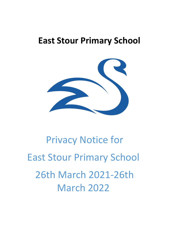# **East Stour Primary School**



# Privacy Notice for East Stour Primary School 26th March 2021-26th March 2022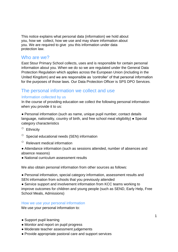This notice explains what personal data (information) we hold about you, how we collect, how we use and may share information about you. We are required to give you this information under data protection law.

## Who are we?

East Stour Primary School collects, uses and is responsible for certain personal information about you. When we do so we are regulated under the General Data Protection Regulation which applies across the European Union (including in the United Kingdom) and we are responsible as 'controller' of that personal information for the purposes of those laws. Our Data Protection Officer is SPS DPO Services.

# The personal information we collect and use

#### Information collected by us

In the course of providing education we collect the following personal information when you provide it to us:

● Personal information (such as name, unique pupil number, contact details language, nationality, country of birth, and free school meal eligibility) ● Special category characteristics

- $\circ$  Ethnicity
- Special educational needs (SEN) information
- $\circ$  Relevant medical information
- Attendance information (such as sessions attended, number of absences and absence reasons)
- National curriculum assessment results

We also obtain personal information from other sources as follows:

● Personal information, special category information, assessment results and SEN information from schools that you previously attended

• Service support and involvement information from KCC teams working to improve outcomes for children and young people (such as SEND, Early Help, Free School Meals, Admissions)

#### How we use your personal information

We use your personal information to:

- Support pupil learning
- Monitor and report on pupil progress
- Moderate teacher assessment judgements
- Provide appropriate pastoral care and support services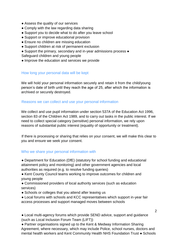- Assess the quality of our services
- Comply with the law regarding data sharing
- Support you to decide what to do after you leave school
- Support or improve educational provision
- Ensure no children are missing education
- Support children at risk of permanent exclusion
- Support the primary, secondary and in-year admissions process ●
- Safeguard children and young people
- Improve the education and services we provide

#### How long your personal data will be kept

We will hold your personal information securely and retain it from the child/young person's date of birth until they reach the age of 25, after which the information is archived or securely destroyed.

#### Reasons we can collect and use your personal information

We collect and use pupil information under section 537A of the Education Act 1996, section 83 of the Children Act 1989, and to carry out tasks in the public interest. If we need to collect special category (sensitive) personal information, we rely upon reasons of substantial public interest (equality of opportunity or treatment).

If there is processing or sharing that relies on your consent, we will make this clear to you and ensure we seek your consent.

#### Who we share your personal information with

● Department for Education (DfE) (statutory for school funding and educational attainment policy and monitoring) and other government agencies and local authorities as required (e.g. to resolve funding queries)

● Kent County Council teams working to improve outcomes for children and young people

● Commissioned providers of local authority services (such as education services)

- Schools or colleges that you attend after leaving us
- Local forums with schools and KCC representatives which support in-year fair access processes and support managed moves between schools

• Local multi-agency forums which provide SEND advice, support and guidance (such as Local Inclusion Forum Team (LIFT))

• Partner organisations signed up to the Kent & Medway Information Sharing Agreement, where necessary, which may include Police, school nurses, doctors and mental health workers and Kent Community Health NHS Foundation Trust ● Schools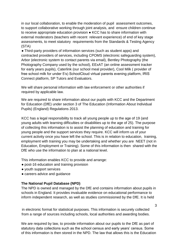in our local collaboration, to enable the moderation of pupil assessment outcomes, to support collaborative working through joint analysis, and ensure children continue to receive appropriate education provision ● KCC has to share information with external moderators (teachers with recent relevant experience) of end of key stage assessments, to meet statutory requirements from the Standards & Testing Agency (STA)

• Third-party providers of information services (such as student apps) and contracted providers of services, including CPOMS (electronic safeguarding system), Arbor (electronic system to contact parents via email), Bentley Photography (the Photography Company used by the school), EExAT (an online assessment tracker for early years pupils), Caterlink (our school meal provider), Cool Milk ( provider of free school milk for under 5's) SchoolCloud virtual parents evening platform, IRIS Connect platform, SP Tutors and Evaluators.

We will share personal information with law enforcement or other authorities if required by applicable law.

We are required to share information about our pupils with KCC and the Department for Education (DfE) under section 3 of The Education (Information About Individual Pupils) (England) Regulations 2013.

KCC has a legal responsibility to track all young people up to the age of 19 (and young adults with learning difficulties or disabilities up to the age of 25). The purpose of collecting this information is to assist the planning of education and training for young people and the support services they require. KCC will inform us of your current activity once you have left the school. This is in relation to education, training, employment with training you may be undertaking and whether you are NEET (not in Education, Employment or Training). Some of this information is then shared with the DfE who use the information to plan at a national level.

This information enables KCC to provide and arrange:

- post-16 education and training provision
- youth support services
- careers advice and guidance

#### **The National Pupil Database (NPD)**

The NPD is owned and managed by the DfE and contains information about pupils in schools in England. It provides invaluable evidence on educational performance to inform independent research, as well as studies commissioned by the DfE. It is held

in electronic format for statistical purposes. This information is securely collected from a range of sources including schools, local authorities and awarding bodies.

We are required by law, to provide information about our pupils to the DfE as part of statutory data collections such as the school census and early years' census. Some of this information is then stored in the NPD. The law that allows this is the Education

3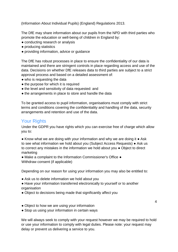(Information About Individual Pupils) (England) Regulations 2013.

The DfE may share information about our pupils from the NPD with third parties who promote the education or well-being of children in England by:

- conducting research or analysis
- producing statistics
- providing information, advice or guidance

The DfE has robust processes in place to ensure the confidentiality of our data is maintained and there are stringent controls in place regarding access and use of the data. Decisions on whether DfE releases data to third parties are subject to a strict approval process and based on a detailed assessment of:

- who is requesting the data
- the purpose for which it is required
- the level and sensitivity of data requested: and
- the arrangements in place to store and handle the data

To be granted access to pupil information, organisations must comply with strict terms and conditions covering the confidentiality and handling of the data, security arrangements and retention and use of the data.

# Your Rights

Under the GDPR you have rights which you can exercise free of charge which allow you to:

● Know what we are doing with your information and why we are doing it ● Ask to see what information we hold about you (Subject Access Requests) ● Ask us to correct any mistakes in the information we hold about you ● Object to direct marketing

● Make a complaint to the Information Commissioner's Office ● Withdraw consent (if applicable)

Depending on our reason for using your information you may also be entitled to:

- Ask us to delete information we hold about you
- Have your information transferred electronically to yourself or to another organisation
- Object to decisions being made that significantly affect you
- Object to how we are using your information
- Stop us using your information in certain ways

We will always seek to comply with your request however we may be required to hold or use your information to comply with legal duties. Please note: your request may delay or prevent us delivering a service to you.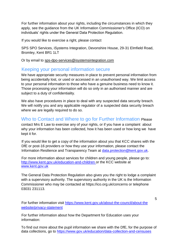For further information about your rights, including the circumstances in which they apply, see the guidance from the UK Information Commissioner's Office (ICO) on individuals' rights under the General Data Protection Regulation.

If you would like to exercise a right, please contact

SPS SPO Services, iSystems Integration, Devonshire House, 29-31 Elmfield Road, Bromley, Kent BR1 1LT

Or by email to sps-dpo-services@isystemsintegration.com

### Keeping your personal information secure

We have appropriate security measures in place to prevent personal information from being accidentally lost, or used or accessed in an unauthorised way. We limit access to your personal information to those who have a genuine business need to know it. Those processing your information will do so only in an authorised manner and are subject to a duty of confidentiality.

We also have procedures in place to deal with any suspected data security breach. We will notify you and any applicable regulator of a suspected data security breach where we are legally required to do so.

Who to Contact and Where to go for Further Information Please contact Mrs E Law to exercise any of your rights, or if you have a complaint about why your information has been collected, how it has been used or how long we have kept it for.

If you would like to get a copy of the information about you that KCC shares with the DfE or post-16 providers or how they use your information, please contact the Information Resilience and Transparency Team at data.protection@kent.gov.uk.

For more information about services for children and young people, please go to: http://www.kent.gov.uk/education-and-children or the KCC website at www.kent.gov.uk

The General Data Protection Regulation also gives you the right to lodge a complaint with a supervisory authority. The supervisory authority in the UK is the Information Commissioner who may be contacted at https://ico.org.uk/concerns or telephone 03031 231113.

For further information visit https://www.kent.gov.uk/about-the-council/about-the website/privacy-statement

5

For further information about how the Department for Education uses your information:

To find out more about the pupil information we share with the DfE, for the purpose of data collections, go to https://www.gov.uk/education/data-collection-and-censuses